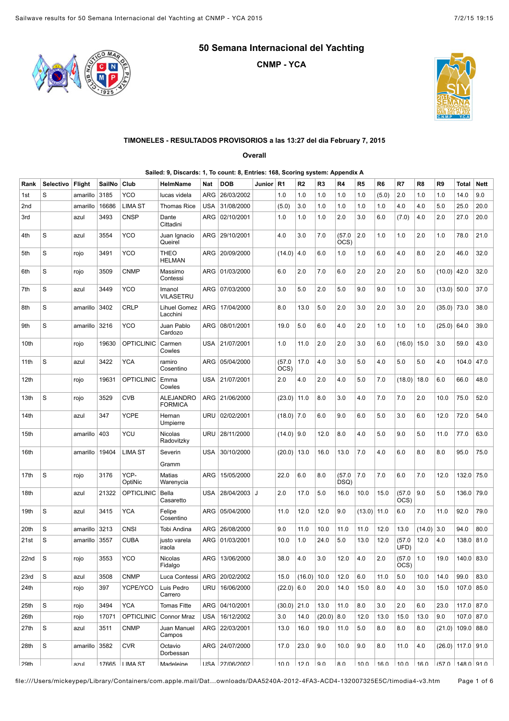## **50 Semana Internacional del Yachting**

**CNMP - YCA**





## **TIMONELES - RESULTADOS PROVISORIOS a las 13:27 del dia February 7, 2015**

**Overall**

| Sailed: 9, Discards: 1, To count: 8, Entries: 168, Scoring system: Appendix A |  |  |
|-------------------------------------------------------------------------------|--|--|
|                                                                               |  |  |

| Rank | <b>Selectivo</b> | <b>Flight</b>    | SailNo | Club              | HelmName                           | Nat        | <b>DOB</b>       | Junior | R <sub>1</sub> | R <sub>2</sub> | R <sub>3</sub> | R4            | R <sub>5</sub> | R6    | R7             | R <sub>8</sub> | R <sub>9</sub>   | Total               | <b>Nett</b> |
|------|------------------|------------------|--------|-------------------|------------------------------------|------------|------------------|--------|----------------|----------------|----------------|---------------|----------------|-------|----------------|----------------|------------------|---------------------|-------------|
| 1st  | S                | amarillo         | 3185   | <b>YCO</b>        | lucas videla                       | ARG        | 26/03/2002       |        | 1.0            | 1.0            | 1.0            | 1.0           | 1.0            | (5.0) | 2.0            | 1.0            | 1.0              | 14.0                | 9.0         |
| 2nd  |                  | amarillo         | 16686  | <b>LIMA ST</b>    | Thomas Rice                        | <b>USA</b> | 31/08/2000       |        | (5.0)          | 3.0            | 1.0            | 1.0           | 1.0            | 1.0   | 4.0            | 4.0            | 5.0              | 25.0                | 20.0        |
| 3rd  |                  | azul             | 3493   | <b>CNSP</b>       | Dante<br>Cittadini                 | <b>ARG</b> | 02/10/2001       |        | 1.0            | 1.0            | 1.0            | 2.0           | 3.0            | 6.0   | (7.0)          | 4.0            | 2.0              | 27.0                | 20.0        |
| 4th  | S                | azul             | 3554   | <b>YCO</b>        | Juan Ignacio<br>Queirel            | ARG        | 29/10/2001       |        | 4.0            | 3.0            | 7.0            | (57.0<br>OCS) | 2.0            | 1.0   | 1.0            | 2.0            | 1.0              | 78.0                | 21.0        |
| 5th  | S                | rojo             | 3491   | <b>YCO</b>        | <b>THEO</b><br><b>HELMAN</b>       | ARG        | 20/09/2000       |        | (14.0)         | 4.0            | 6.0            | 1.0           | 1.0            | 6.0   | 4.0            | 8.0            | 2.0              | 46.0                | 32.0        |
| 6th  | S                | rojo             | 3509   | <b>CNMP</b>       | Massimo<br>Contessi                | ARG        | 01/03/2000       |        | 6.0            | 2.0            | 7.0            | 6.0           | 2.0            | 2.0   | 2.0            | 5.0            | (10.0)           | 42.0                | 32.0        |
| 7th  | S                | azul             | 3449   | <b>YCO</b>        | Imanol<br>VILASETRU                | ARG        | 07/03/2000       |        | 3.0            | 5.0            | 2.0            | 5.0           | 9.0            | 9.0   | 1.0            | 3.0            | (13.0)           | 50.0                | 37.0        |
| 8th  | S                | amarillo         | 3402   | <b>CRLP</b>       | Lihuel Gomez<br>Lacchini           | ARG        | 17/04/2000       |        | 8.0            | 13.0           | 5.0            | 2.0           | 3.0            | 2.0   | 3.0            | 2.0            | $(35.0)$ 73.0    |                     | 38.0        |
| 9th  | S                | amarillo         | 3216   | <b>YCO</b>        | Juan Pablo<br>Cardozo              | ARG        | 08/01/2001       |        | 19.0           | 5.0            | 6.0            | 4.0           | 2.0            | 1.0   | 1.0            | 1.0            | (25.0)           | 64.0                | 39.0        |
| 10th |                  | rojo             | 19630  | <b>OPTICLINIC</b> | Carmen<br>Cowles                   | USA        | 21/07/2001       |        | 1.0            | 11.0           | 2.0            | 2.0           | 3.0            | 6.0   | (16.0)         | 15.0           | 3.0              | 59.0                | 43.0        |
| 11th | S                | azul             | 3422   | <b>YCA</b>        | ramiro<br>Cosentino                | ARG        | 05/04/2000       |        | (57.0<br>OCS)  | 17.0           | 4.0            | 3.0           | 5.0            | 4.0   | 5.0            | 5.0            | 4.0              | 104.0               | 47.0        |
| 12th |                  | rojo             | 19631  | <b>OPTICLINIC</b> | Emma<br>Cowles                     | USA        | 21/07/2001       |        | 2.0            | 4.0            | 2.0            | 4.0           | 5.0            | 7.0   | (18.0)         | 18.0           | 6.0              | 66.0                | 48.0        |
| 13th | S                | rojo             | 3529   | <b>CVB</b>        | <b>ALEJANDRO</b><br><b>FORMICA</b> |            | ARG   21/06/2000 |        | (23.0)         | 11.0           | 8.0            | 3.0           | 4.0            | 7.0   | 7.0            | 2.0            | 10.0             | 75.0                | 52.0        |
| 14th |                  | azul             | 347    | <b>YCPE</b>       | Hernan<br>Umpierre                 | URU        | 02/02/2001       |        | $(18.0)$ 7.0   |                | 6.0            | 9.0           | 6.0            | 5.0   | 3.0            | 6.0            | 12.0             | 72.0                | 54.0        |
| 15th |                  | amarillo         | 403    | <b>YCU</b>        | Nicolas<br>Radovitzky              | <b>URU</b> | 28/11/2000       |        | $(14.0)$ 9.0   |                | 12.0           | 8.0           | 4.0            | 5.0   | 9.0            | 5.0            | 11.0             | 77.0                | 63.0        |
| 16th |                  | amarillo         | 19404  | <b>LIMA ST</b>    | Severin<br>Gramm                   | USA        | 30/10/2000       |        | (20.0)         | 13.0           | 16.0           | 13.0          | 7.0            | 4.0   | 6.0            | 8.0            | 8.0              | 95.0                | 75.0        |
| 17th | S                | rojo             | 3176   | YCP-<br>OptiNic   | Matias<br>Warenycia                | ARG        | 15/05/2000       |        | 22.0           | 6.0            | 8.0            | (57.0<br>DSQ) | 7.0            | 7.0   | 6.0            | 7.0            | 12.0             | 132.0               | 75.0        |
| 18th |                  | azul             | 21322  | <b>OPTICLINIC</b> | Bella<br>Casaretto                 | USA        | 28/04/2003       | J      | 2.0            | 17.0           | 5.0            | 16.0          | 10.0           | 15.0  | (57.0)<br>OCS) | 9.0            | 5.0              | 136.0               | 79.0        |
| 19th | S                | azul             | 3415   | <b>YCA</b>        | Felipe<br>Cosentino                | ARG        | 05/04/2000       |        | 11.0           | 12.0           | 12.0           | 9.0           | $(13.0)$ 11.0  |       | 6.0            | 7.0            | 11.0             | 92.0                | 79.0        |
| 20th | S                | amarillo         | 3213   | <b>CNSI</b>       | Tobi Andina                        | ARG        | 26/08/2000       |        | 9.0            | 11.0           | 10.0           | 11.0          | 11.0           | 12.0  | 13.0           | (14.0)         | 3.0              | 94.0                | 80.0        |
| 21st | S                | amarillo         | 3557   | <b>CUBA</b>       | justo varela<br>iraola             |            | ARG   01/03/2001 |        | 10.0           | 1.0            | 24.0           | 5.0           | 13.0           | 12.0  | (57.0)<br>UFD) | 12.0           | 4.0              | 138.0 81.0          |             |
| 22nd | S                | rojo             | 3553   | <b>YCO</b>        | Nicolas<br>Fidalgo                 |            | ARG   13/06/2000 |        | 38.0           | $4.0$          | $3.0\,$        | 12.0          | $4.0$          | 2.0   | (57.0<br>OCS)  | 1.0            | 19.0             | 140.0   83.0        |             |
| 23rd | S                | azul             | 3508   | <b>CNMP</b>       | Luca Contessi                      |            | ARG   20/02/2002 |        | 15.0           | (16.0)         | 10.0           | 12.0          | 6.0            | 11.0  | 5.0            | 10.0           | 14.0             | 99.0                | 83.0        |
| 24th |                  | rojo             | 397    | YCPE/YCO          | Luis Pedro<br>Carrero              | URU        | 16/06/2000       |        | $(22.0)$ 6.0   |                | 20.0           | 14.0          | 15.0           | 8.0   | 4.0            | 3.0            | 15.0             | 107.0 85.0          |             |
| 25th | S                | rojo             | 3494   | <b>YCA</b>        | <b>Tomas Fitte</b>                 |            | ARG 04/10/2001   |        | $(30.0)$ 21.0  |                | 13.0           | 11.0          | 8.0            | 3.0   | 2.0            | 6.0            | 23.0             | 117.0 87.0          |             |
| 26th |                  | rojo             | 17071  | <b>OPTICLINIC</b> | Connor Mraz                        | <b>USA</b> | 16/12/2002       |        | 3.0            | 14.0           | $(20.0)$ 8.0   |               | 12.0           | 13.0  | 15.0           | 13.0           | 9.0              | 107.0 87.0          |             |
| 27th | S                | azul             | 3511   | <b>CNMP</b>       | Juan Manuel                        |            | ARG 22/03/2001   |        | 13.0           | 16.0           | 19.0           | 11.0          | 5.0            | 8.0   | 8.0            | 8.0            |                  | $(21.0)$ 109.0 88.0 |             |
| 28th | S                | amarillo $ 3582$ |        | <b>CVR</b>        | Campos<br>Octavio                  |            | ARG   24/07/2000 |        | 17.0           | 23.0           | 9.0            | 10.0          | 9.0            | 8.0   | 11.0           | 4.0            |                  | $(26.0)$ 117.0 91.0 |             |
| 29th |                  | azul             |        | 17665   I IMA ST  | Dorbessan<br>Madeleine             |            | USA 27/06/2002   |        | 10 በ           | 120            | 90             | ∣ a ∩         | 10 0           | 160   | 100            | 16 0           | $1/570$ 1480 910 |                     |             |
|      |                  |                  |        |                   |                                    |            |                  |        |                |                |                |               |                |       |                |                |                  |                     |             |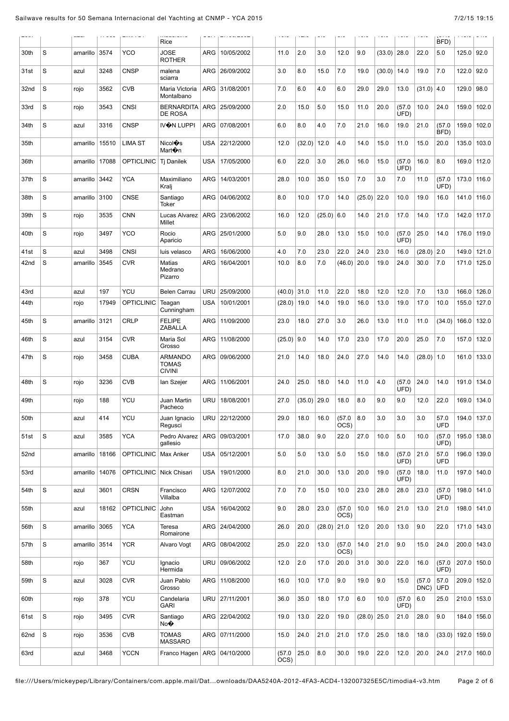|      |             |          |       |                           | Rice                                            |            |                  |                |               |               |                |         |        |                |                | BFD)               |               |       |
|------|-------------|----------|-------|---------------------------|-------------------------------------------------|------------|------------------|----------------|---------------|---------------|----------------|---------|--------|----------------|----------------|--------------------|---------------|-------|
| 30th | S           | amarillo | 3574  | <b>YCO</b>                | <b>JOSE</b><br><b>ROTHER</b>                    | ARG        | 10/05/2002       | 11.0           | 2.0           | 3.0           | 12.0           | 9.0     | (33.0) | 28.0           | 22.0           | 5.0                | 125.0         | 92.0  |
| 31st | S           | azul     | 3248  | <b>CNSP</b>               | malena<br>sciarra                               | ARG        | 26/09/2002       | 3.0            | 8.0           | 15.0          | 7.0            | 19.0    | (30.0) | 14.0           | 19.0           | 7.0                | 122.0         | 92.0  |
| 32nd | S           | rojo     | 3562  | <b>CVB</b>                | Maria Victoria<br>Montalbano                    | ARG        | 31/08/2001       | 7.0            | 6.0           | 4.0           | 6.0            | 29.0    | 29.0   | 13.0           | (31.0)         | 4.0                | 129.0         | 98.0  |
| 33rd | S           | rojo     | 3543  | <b>CNSI</b>               | <b>BERNARDITA</b><br>DE ROSA                    | ARG        | 25/09/2000       | 2.0            | 15.0          | 5.0           | 15.0           | 11.0    | 20.0   | (57.0<br>UFD)  | 10.0           | 24.0               | 159.0         | 102.0 |
| 34th | S           | azul     | 3316  | <b>CNSP</b>               | IV�N LUPPI                                      | ARG        | 07/08/2001       | 6.0            | 8.0           | 4.0           | 7.0            | 21.0    | 16.0   | 19.0           | 21.0           | (57.0)<br>BFD)     | 159.0         | 102.0 |
| 35th |             | amarillo | 15510 | <b>LIMA ST</b>            | Nicol <sup>o</sup> S<br>Mart�n                  | USA        | 22/12/2000       | 12.0           | (32.0)        | 12.0          | 4.0            | 14.0    | 15.0   | 11.0           | 15.0           | 20.0               | 135.0         | 103.0 |
| 36th |             | amarillo | 17088 | <b>OPTICLINIC</b>         | Tj Danilek                                      | <b>USA</b> | 17/05/2000       | 6.0            | 22.0          | 3.0           | 26.0           | 16.0    | 15.0   | (57.0)<br>UFD) | 16.0           | 8.0                | 169.0         | 112.0 |
| 37th | S           | amarillo | 3442  | <b>YCA</b>                | Maximiliano<br>Kralj                            | ARG        | 14/03/2001       | 28.0           | 10.0          | 35.0          | 15.0           | 7.0     | 3.0    | 7.0            | 11.0           | (57.0<br>UFD)      | 173.0         | 116.0 |
| 38th | S           | amarillo | 3100  | <b>CNSE</b>               | Santiago<br>Toker                               | ARG        | 04/06/2002       | 8.0            | 10.0          | 17.0          | 14.0           | (25.0)  | 22.0   | 10.0           | 19.0           | 16.0               | 141.0         | 116.0 |
| 39th | S           | rojo     | 3535  | <b>CNN</b>                | Lucas Alvarez<br>Millet                         | ARG        | 23/06/2002       | 16.0           | 12.0          | $(25.0)$ 6.0  |                | 14.0    | 21.0   | 17.0           | 14.0           | 17.0               | 142.0         | 117.0 |
| 40th | S           | rojo     | 3497  | <b>YCO</b>                | Rocio<br>Aparicio                               | ARG        | 25/01/2000       | 5.0            | 9.0           | 28.0          | 13.0           | 15.0    | 10.0   | (57.0<br>UFD)  | 25.0           | 14.0               | 176.0         | 119.0 |
| 41st | S           | azul     | 3498  | <b>CNSI</b>               | luis velasco                                    | <b>ARG</b> | 16/06/2000       | 4.0            | 7.0           | 23.0          | 22.0           | 24.0    | 23.0   | 16.0           | (28.0)         | 2.0                | 149.0         | 121.0 |
| 42nd | S           | amarillo | 3545  | <b>CVR</b>                | Matias<br>Medrano<br>Pizarro                    | ARG        | 16/04/2001       | 10.0           | 8.0           | 7.0           | (46.0)         | 20.0    | 19.0   | 24.0           | 30.0           | 7.0                | 171.0         | 125.0 |
| 43rd |             | azul     | 197   | YCU                       | <b>Belen Carrau</b>                             | <b>URU</b> | 25/09/2000       | $(40.0)$ 31.0  |               | 11.0          | 22.0           | 18.0    | 12.0   | 12.0           | 7.0            | 13.0               | 166.0         | 126.0 |
| 44th |             | rojo     | 17949 | <b>OPTICLINIC</b>         | Teagan<br>Cunningham                            | <b>USA</b> | 10/01/2001       | (28.0)         | 19.0          | 14.0          | 19.0           | 16.0    | 13.0   | 19.0           | 17.0           | 10.0               | 155.0         | 127.0 |
| 45th | S           | amarillo | 3121  | <b>CRLP</b>               | <b>FELIPE</b><br>ZABALLA                        | <b>ARG</b> | 11/09/2000       | 23.0           | 18.0          | 27.0          | 3.0            | 26.0    | 13.0   | 11.0           | 11.0           | (34.0)             | 166.0         | 132.0 |
| 46th | S           | azul     | 3154  | <b>CVR</b>                | Maria Sol<br>Grosso                             | ARG        | 11/08/2000       | $(25.0)$ 9.0   |               | 14.0          | 17.0           | 23.0    | 17.0   | 20.0           | 25.0           | 7.0                | 157.0         | 132.0 |
| 47th | S           | rojo     | 3458  | <b>CUBA</b>               | <b>ARMANDO</b><br><b>TOMAS</b><br><b>CIVINI</b> | ARG        | 09/06/2000       | 21.0           | 14.0          | 18.0          | 24.0           | 27.0    | 14.0   | 14.0           | (28.0)         | 1.0                | 161.0         | 133.0 |
| 48th | S           | rojo     | 3236  | <b>CVB</b>                | lan Szejer                                      | ARG        | 11/06/2001       | 24.0           | 25.0          | 18.0          | 14.0           | 11.0    | 4.0    | (57.0<br>UFD)  | 24.0           | 14.0               | 191.0         | 134.0 |
| 49th |             | rojo     | 188   | <b>YCU</b>                | Juan Martin<br>Pacheco                          | URU        | 18/08/2001       | 27.0           | $(35.0)$ 29.0 |               | 18.0           | 8.0     | 9.0    | 9.0            | 12.0           | 22.0               | 169.0         | 134.0 |
| 50th |             | azul     | 414   | <b>YCU</b>                | Juan Ignacio<br>Regusci                         |            | URU 22/12/2000   | 29.0           | 18.0          | 16.0          | (57.0)<br>OCS) | $8.0\,$ | 3.0    | $3.0\,$        | $3.0\,$        | 57.0<br>UFD        | 194.0         | 137.0 |
| 51st | $\mathbf S$ | azul     | 3585  | <b>YCA</b>                | Pedro Alvarez<br>qallesio                       |            | ARG   09/03/2001 | 17.0           | 38.0          | 9.0           | 22.0           | 27.0    | 10.0   | 5.0            | 10.0           | (57.0<br>UFD)      | 195.0         | 138.0 |
| 52nd |             | amarillo | 18166 | <b>OPTICLINIC</b>         | Max Anker                                       | USA        | 05/12/2001       | 5.0            | 5.0           | 13.0          | 5.0            | 15.0    | 18.0   | (57.0)<br>UFD) | 21.0           | 57.0<br><b>UFD</b> | 196.0         | 139.0 |
| 53rd |             | amarillo | 14076 | OPTICLINIC   Nick Chisari |                                                 | <b>USA</b> | 19/01/2000       | 8.0            | 21.0          | 30.0          | 13.0           | 20.0    | 19.0   | (57.0)<br>UFD) | 18.0           | 11.0               | 197.0         | 140.0 |
| 54th | S           | azul     | 3601  | <b>CRSN</b>               | Francisco<br>Villalba                           | ARG        | 12/07/2002       | 7.0            | $7.0\,$       | 15.0          | 10.0           | 23.0    | 28.0   | 28.0           | 23.0           | (57.0<br>UFD)      | 198.0         | 141.0 |
| 55th |             | azul     | 18162 | <b>OPTICLINIC</b>         | John<br>Eastman                                 | <b>USA</b> | 16/04/2002       | 9.0            | 28.0          | 23.0          | (57.0)<br>OCS) | 10.0    | 16.0   | 21.0           | 13.0           | 21.0               | 198.0         | 141.0 |
| 56th | $\mathbf S$ | amarillo | 3065  | <b>YCA</b>                | Teresa<br>Romairone                             |            | ARG 24/04/2000   | 26.0           | 20.0          | $(28.0)$ 21.0 |                | 12.0    | 20.0   | 13.0           | 9.0            | 22.0               | 171.0         | 143.0 |
| 57th | $\mathbf S$ | amarillo | 3514  | <b>YCR</b>                | Alvaro Vogt                                     |            | ARG   08/04/2002 | 25.0           | 22.0          | 13.0          | (57.0)<br>OCS) | 14.0    | 21.0   | 9.0            | 15.0           | 24.0               | 200.0         | 143.0 |
| 58th |             | rojo     | 367   | YCU                       | Ignacio<br>Hermida                              | URU        | 09/06/2002       | 12.0           | 2.0           | 17.0          | 20.0           | 31.0    | 30.0   | 22.0           | 16.0           | (57.0)<br>UFD)     | 207.0         | 150.0 |
| 59th | $\mathbf S$ | azul     | 3028  | <b>CVR</b>                | Juan Pablo<br>Grosso                            |            | ARG   11/08/2000 | 16.0           | 10.0          | 17.0          | 9.0            | 19.0    | 9.0    | 15.0           | (57.0)<br>DNC) | 57.0<br><b>UFD</b> | 209.0         | 152.0 |
| 60th |             | rojo     | 378   | YCU                       | Candelaria<br><b>GARI</b>                       |            | URU 27/11/2001   | 36.0           | 35.0          | 18.0          | 17.0           | 6.0     | 10.0   | (57.0)<br>UFD) | 6.0            | 25.0               | 210.0         | 153.0 |
| 61st | $\mathbf S$ | rojo     | 3495  | <b>CVR</b>                | Santiago<br>No❖                                 |            | ARG   22/04/2002 | 19.0           | 13.0          | 22.0          | 19.0           | (28.0)  | 25.0   | 21.0           | 28.0           | 9.0                | 184.0         | 156.0 |
| 62nd | S           | rojo     | 3536  | <b>CVB</b>                | TOMAS<br><b>MASSARO</b>                         |            | ARG 07/11/2000   | 15.0           | 24.0          | 21.0          | 21.0           | 17.0    | 25.0   | 18.0           | 18.0           | (33.0)             | 192.0         | 159.0 |
| 63rd |             | azul     | 3468  | <b>YCCN</b>               | Franco Hagen   ARG   04/10/2000                 |            |                  | (57.0)<br>OCS) | 25.0          | 8.0           | 30.0           | 19.0    | 22.0   | 12.0           | 20.0           | 24.0               | 217.0   160.0 |       |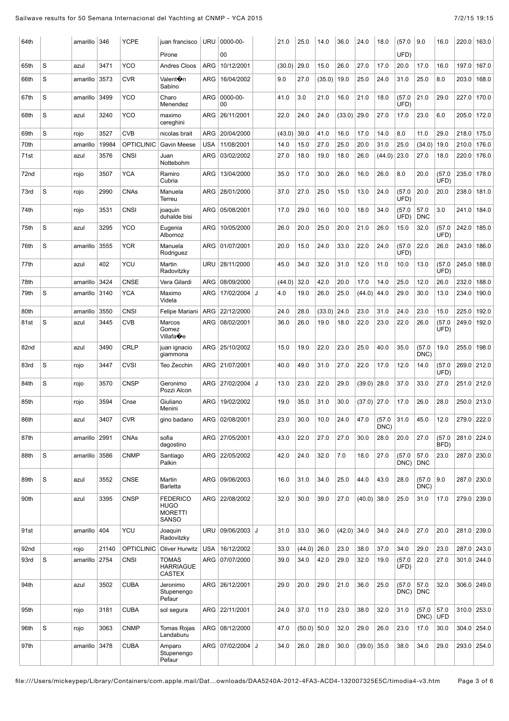| 64th             |        | amarillo         | 346          | <b>YCPE</b>       | juan francisco                                            | URU               | 0000-00-                 |   | 21.0          | 25.0         | 14.0           | 36.0         | 24.0         | 18.0           | (57.0)         | 9.0                | 16.0               | 220.0          | 163.0          |
|------------------|--------|------------------|--------------|-------------------|-----------------------------------------------------------|-------------------|--------------------------|---|---------------|--------------|----------------|--------------|--------------|----------------|----------------|--------------------|--------------------|----------------|----------------|
|                  |        |                  |              |                   | Pirone                                                    |                   | 00                       |   |               |              |                |              |              |                | UFD)           |                    |                    |                |                |
| 65th<br>66th     | S<br>S | azul<br>amarillo | 3471<br>3573 | YCO<br><b>CVR</b> | <b>Andres Cloos</b><br>Valent�n                           | <b>ARG</b><br>ARG | 10/12/2001<br>16/04/2002 |   | (30.0)<br>9.0 | 29.0<br>27.0 | 15.0<br>(35.0) | 26.0<br>19.0 | 27.0<br>25.0 | 17.0<br>24.0   | 20.0<br>31.0   | 17.0<br>25.0       | 16.0<br>8.0        | 197.0<br>203.0 | 167.0<br>168.0 |
|                  |        |                  |              |                   | Sabino                                                    |                   |                          |   |               |              |                |              |              |                |                |                    |                    |                |                |
| 67th             | S      | amarillo         | 3499         | YCO               | Charo<br>Menendez                                         |                   | ARG 0000-00-<br>00       |   | 41.0          | 3.0          | 21.0           | 16.0         | 21.0         | 18.0           | (57.0)<br>UFD) | 21.0               | 29.0               | 227.0          | 170.0          |
| 68th             | S      | azul             | 3240         | YCO               | maximo<br>cereghini                                       | ARG               | 26/11/2001               |   | 22.0          | 24.0         | 24.0           | (33.0)       | 29.0         | 27.0           | 17.0           | 23.0               | 6.0                | 205.0          | 172.0          |
| 69th             | S      | rojo             | 3527         | CVB               | nicolas brait                                             | <b>ARG</b>        | 20/04/2000               |   | (43.0)        | 39.0         | 41.0           | 16.0         | 17.0         | 14.0           | 8.0            | 11.0               | 29.0               | 218.0          | 175.0          |
| 70th             |        | amarillo         | 19984        | <b>OPTICLINIC</b> | Gavin Meese                                               | <b>USA</b>        | 11/08/2001               |   | 14.0          | 15.0         | 27.0           | 25.0         | 20.0         | 31.0           | 25.0           | (34.0)             | 19.0               | 210.0          | 176.0          |
| 71st             |        | azul             | 3576         | <b>CNSI</b>       | Juan<br>Nottebohm                                         | ARG               | 03/02/2002               |   | 27.0          | 18.0         | 19.0           | 18.0         | 26.0         | (44.0)         | 23.0           | 27.0               | 18.0               | 220.0          | 176.0          |
| 72 <sub>nd</sub> |        | rojo             | 3507         | <b>YCA</b>        | Ramiro<br>Cubria                                          | <b>ARG</b>        | 13/04/2000               |   | 35.0          | 17.0         | 30.0           | 26.0         | 16.0         | 26.0           | 8.0            | 20.0               | (57.0<br>UFD)      | 235.0          | 178.0          |
| 73rd             | S      | rojo             | 2990         | <b>CNAs</b>       | Manuela<br>Terreu                                         | ARG               | 28/01/2000               |   | 37.0          | 27.0         | 25.0           | 15.0         | 13.0         | 24.0           | (57.0)<br>UFD) | 20.0               | 20.0               | 238.0          | 181.0          |
| 74th             |        | rojo             | 3531         | <b>CNSI</b>       | joaquin<br>duhalde bisi                                   | ARG               | 05/08/2001               |   | 17.0          | 29.0         | 16.0           | 10.0         | 18.0         | 34.0           | (57.0)<br>UFD) | 57.0<br><b>DNC</b> | 3.0                | 241.0          | 184.0          |
| 75th             | S      | azul             | 3295         | YCO               | Eugenia<br>Albornoz                                       | ARG               | 10/05/2000               |   | 26.0          | 20.0         | 25.0           | 20.0         | 21.0         | 26.0           | 15.0           | 32.0               | (57.0)<br>UFD)     | 242.0          | 185.0          |
| 76th             | S      | amarillo         | 3555         | <b>YCR</b>        | Manuela<br>Rodriguez                                      | ARG               | 01/07/2001               |   | 20.0          | 15.0         | 24.0           | 33.0         | 22.0         | 24.0           | (57.0)<br>UFD) | 22.0               | 26.0               | 243.0          | 186.0          |
| 77th             |        | azul             | 402          | YCU               | Martin<br>Radovitzky                                      | URU               | 28/11/2000               |   | 45.0          | 34.0         | 32.0           | 31.0         | 12.0         | 11.0           | 10.0           | 13.0               | (57.0)<br>UFD)     | 245.0          | 188.0          |
| 78th             |        | amarillo         | 3424         | CNSE              | Vera Gilardi                                              | ARG               | 08/09/2000               |   | (44.0)        | 32.0         | 42.0           | 20.0         | 17.0         | 14.0           | 25.0           | 12.0               | 26.0               | 232.0          | 188.0          |
| 79th             | S      | amarillo         | 3140         | YCA               | Maximo<br>Videla                                          | <b>ARG</b>        | 17/02/2004               | J | 4.0           | 19.0         | 26.0           | 25.0         | (44.0)       | 44.0           | 29.0           | 30.0               | 13.0               | 234.0          | 190.0          |
| 80th             |        | amarillo         | 3550         | <b>CNSI</b>       | Felipe Mariani                                            | ARG               | 22/12/2000               |   | 24.0          | 28.0         | (33.0)         | 24.0         | 23.0         | 31.0           | 24.0           | 23.0               | 15.0               | 225.0          | 192.0          |
| 81st             | S      | azul             | 3445         | CVB               | Marcos<br>Gomez<br>Villafa�e                              |                   | ARG   08/02/2001         |   | 36.0          | 26.0         | 19.0           | 18.0         | 22.0         | 23.0           | 22.0           | 26.0               | (57.0)<br>UFD)     | 249.0          | 192.0          |
| 82nd             |        | azul             | 3490         | <b>CRLP</b>       | juan ignacio<br>giammona                                  |                   | ARG   25/10/2002         |   | 15.0          | 19.0         | 22.0           | 23.0         | 25.0         | 40.0           | 35.0           | (57.0<br>DNC)      | 19.0               | 255.0          | 198.0          |
| 83rd             | S      | rojo             | 3447         | <b>CVSI</b>       | Teo Zecchin                                               |                   | ARG 21/07/2001           |   | 40.0          | 49.0         | 31.0           | 27.0         | 22.0         | 17.0           | 12.0           | 14.0               | (57.0)<br>UFD)     |                | 269.0 212.0    |
| 84th             | S      | rojo             | 3570         | CNSP              | Geronimo<br>Pozzi Alcon                                   |                   | ARG   27/02/2004         | J | 13.0          | 23.0         | 22.0           | 29.0         | (39.0)       | 28.0           | 37.0           | 33.0               | 27.0               | 251.0          | 212.0          |
| 85th             |        | rojo             | 3594         | Cnse              | Giuliano<br>Menini                                        | ARG               | 19/02/2002               |   | 19.0          | 35.0         | 31.0           | 30.0         | (37.0)       | 27.0           | 17.0           | 26.0               | 28.0               | 250.0          | 213.0          |
| 86th             |        | azul             | 3407         | <b>CVR</b>        | gino badano                                               |                   | ARG 02/08/2001           |   | 23.0          | 30.0         | 10.0           | 24.0         | 47.0         | (57.0)<br>DNC) | 31.0           | 45.0               | 12.0               | 279.0 222.0    |                |
| 87th             |        | amarillo         | 2991         | <b>CNAs</b>       | sofia<br>dagostino                                        |                   | ARG   27/05/2001         |   | 43.0          | 22.0         | 27.0           | 27.0         | 30.0         | 28.0           | 20.0           | 27.0               | (57.0)<br>BFD)     | 281.0          | 224.0          |
| 88th             | S      | amarillo         | 3586         | <b>CNMP</b>       | Santiago<br>Palkin                                        |                   | ARG   22/05/2002         |   | 42.0          | 24.0         | 32.0           | 7.0          | 18.0         | 27.0           | (57.0)<br>DNC) | 57.0<br><b>DNC</b> | 23.0               | 287.0          | 230.0          |
| 89th             | S      | azul             | 3552         | CNSE              | Martin<br><b>Barletta</b>                                 | ARG               | 09/06/2003               |   | 16.0          | 31.0         | 34.0           | 25.0         | 44.0         | 43.0           | 28.0           | (57.0<br>DNC)      | 9.0                | 287.0          | 230.0          |
| 90th             |        | azul             | 3395         | <b>CNSP</b>       | <b>FEDERICO</b><br><b>HUGO</b><br><b>MORETTI</b><br>SANSO | ARG               | 22/08/2002               |   | 32.0          | 30.0         | 39.0           | 27.0         | (40.0)       | 38.0           | 25.0           | 31.0               | 17.0               |                | 279.0 239.0    |
| 91st             |        | amarillo         | 404          | YCU               | Joaquin<br>Radovitzky                                     | URU               | 09/06/2003 J             |   | 31.0          | 33.0         | 36.0           | (42.0)       | 34.0         | 34.0           | 24.0           | 27.0               | 20.0               | 281.0          | 239.0          |
| 92nd             |        | rojo             | 21140        | <b>OPTICLINIC</b> | <b>Oliver Hurwitz</b>                                     | <b>USA</b>        | 16/12/2002               |   | 33.0          | (44.0)       | 26.0           | 23.0         | 38.0         | 37.0           | 34.0           | 29.0               | 23.0               | 287.0          | 243.0          |
| 93rd             | S      | amarillo         | 2754         | <b>CNSI</b>       | <b>TOMAS</b><br><b>HARRIAGUE</b><br><b>CASTEX</b>         | ARG               | 07/07/2000               |   | 39.0          | 34.0         | 42.0           | 29.0         | 32.0         | 19.0           | (57.0)<br>UFD) | 22.0               | 27.0               | 301.0          | 244.0          |
| 94th             |        | azul             | 3502         | CUBA              | Jeronimo<br>Stupenengo<br>Pefaur                          |                   | ARG 26/12/2001           |   | 29.0          | 20.0         | 29.0           | 21.0         | 36.0         | 25.0           | (57.0)<br>DNC) | 57.0<br><b>DNC</b> | 32.0               | 306.0          | 249.0          |
| 95th             |        | rojo             | 3181         | CUBA              | sol segura                                                |                   | ARG 22/11/2001           |   | 24.0          | 37.0         | 11.0           | 23.0         | 38.0         | 32.0           | 31.0           | (57.0)<br>DNC)     | 57.0<br><b>UFD</b> |                | $310.0$ 253.0  |
| 96th             | S      | rojo             | 3063         | <b>CNMP</b>       | Tomas Rojas<br>Landaburu                                  |                   | ARG   08/12/2000         |   | 47.0          | (50.0)       | 50.0           | 32.0         | 29.0         | 26.0           | 23.0           | 17.0               | 30.0               |                | $304.0$ 254.0  |
| 97th             |        | amarillo         | 3478         | CUBA              | Amparo<br>Stupenengo<br>Pefaur                            |                   | ARG 07/02/2004 J         |   | 34.0          | 26.0         | 28.0           | 30.0         | (39.0)       | 35.0           | 38.0           | 34.0               | 29.0               |                | 293.0 254.0    |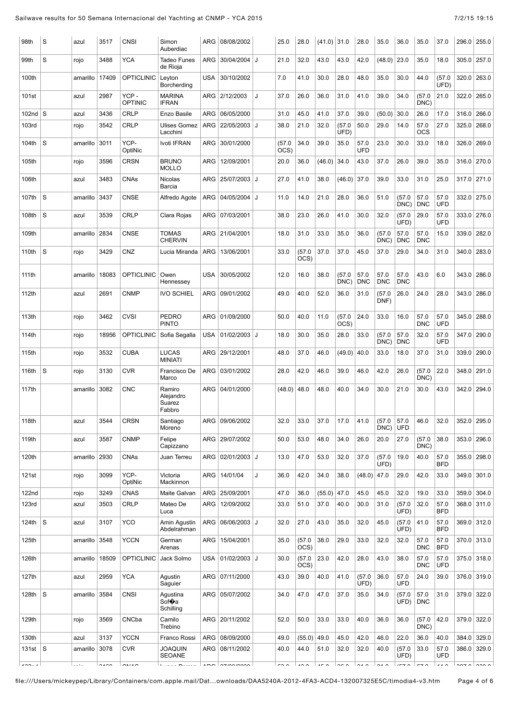| 98th        | S   | azul     | 3517  | <b>CNSI</b>            | Simon<br>Auberdiac                          | ARG        | 08/08/2002           |   | 25.0          | 28.0           | (41.0)        | 31.0          | 28.0               | 35.0               | 36.0               | 35.0               | 37.0               | 296.0 | 255.0         |
|-------------|-----|----------|-------|------------------------|---------------------------------------------|------------|----------------------|---|---------------|----------------|---------------|---------------|--------------------|--------------------|--------------------|--------------------|--------------------|-------|---------------|
| 99th        | S   | rojo     | 3488  | YCA                    | <b>Tadeo Funes</b><br>de Rioja              | ARG        | 30/04/2004           | J | 21.0          | 32.0           | 43.0          | 43.0          | 42.0               | (48.0)             | 23.0               | 35.0               | 18.0               | 305.0 | 257.0         |
| 100th       |     | amarillo | 17409 | <b>OPTICLINIC</b>      | Leyton<br>Borcherding                       | USA        | 30/10/2002           |   | 7.0           | 41.0           | 30.0          | 28.0          | 48.0               | 35.0               | 30.0               | 44.0               | (57.0)<br>UFD)     |       | 320.0 263.0   |
| 101st       |     | azul     | 2987  | YCP-<br><b>OPTINIC</b> | <b>MARINA</b><br><b>IFRAN</b>               |            | ARG 2/12/2003        | J | 37.0          | 26.0           | 36.0          | 31.0          | 41.0               | 39.0               | 34.0               | (57.0<br>DNC)      | 21.0               | 322.0 | 265.0         |
| 102nd       | ١s  | azul     | 3436  | <b>CRLP</b>            | Enzo Basile                                 | ARG        | 06/05/2000           |   | 31.0          | 45.0           | 41.0          | 37.0          | 39.0               | (50.0)             | 30.0               | 26.0               | 17.0               | 316.0 | 266.0         |
| 103rd       |     | rojo     | 3542  | CRLP                   | <b>Ulises Gomez</b><br>Lacchini             | ARG        | 22/05/2003 J         |   | 38.0          | 21.0           | 32.0          | (57.0<br>UFD) | 50.0               | 29.0               | 14.0               | 57.0<br>OCS        | 27.0               |       | 325.0 268.0   |
| 104th       | S   | amarillo | 3011  | YCP-<br>OptiNic        | Ivoti IFRAN                                 | ARG        | 30/01/2000           |   | (57.0<br>OCS) | 34.0           | 39.0          | 35.0          | 57.0<br><b>UFD</b> | 23.0               | 30.0               | 33.0               | 18.0               | 326.0 | 269.0         |
| 105th       |     | rojo     | 3596  | CRSN                   | <b>BRUNO</b><br><b>MOLLO</b>                | ARG        | 12/09/2001           |   | 20.0          | 36.0           | (46.0)        | 34.0          | 43.0               | 37.0               | 26.0               | 39.0               | 35.0               |       | 316.0 270.0   |
| 106th       |     | azul     | 3483  | <b>CNAs</b>            | Nicolas<br>Barcia                           |            | ARG   25/07/2003   J |   | 27.0          | 41.0           | 38.0          | (46.0)        | 37.0               | 39.0               | 33.0               | 31.0               | 25.0               |       | 317.0 271.0   |
| 107th       | S   | amarillo | 3437  | <b>CNSE</b>            | Alfredo Agote                               | ARG        | 04/05/2004 J         |   | 11.0          | 14.0           | 21.0          | 28.0          | 36.0               | 51.0               | (57.0<br>DNC)      | 57.0<br><b>DNC</b> | 57.0<br><b>UFD</b> |       | 332.0 275.0   |
| 108th       | S   | azul     | 3539  | <b>CRLP</b>            | Clara Rojas                                 | ARG        | 07/03/2001           |   | 38.0          | 23.0           | 26.0          | 41.0          | 30.0               | 32.0               | (57.0)<br>UFD)     | 29.0               | 57.0<br><b>UFD</b> |       | 333.0 276.0   |
| 109th       |     | amarillo | 2834  | <b>CNSE</b>            | <b>TOMAS</b><br><b>CHERVIN</b>              | ARG        | 21/04/2001           |   | 18.0          | 31.0           | 33.0          | 35.0          | 36.0               | (57.0)<br>DNC)     | 57.0<br><b>DNC</b> | 57.0<br><b>DNC</b> | 15.0               |       | 339.0 282.0   |
| 110th       | S   | rojo     | 3429  | CNZ                    | Lucia Miranda                               | ARG        | 13/06/2001           |   | 33.0          | (57.0)<br>OCS) | 37.0          | 37.0          | 45.0               | 37.0               | 29.0               | 34.0               | 31.0               |       | 340.0 283.0   |
| 111th       |     | amarillo | 18083 | <b>OPTICLINIC</b>      | Owen<br>Hennessey                           | USA        | 30/05/2002           |   | 12.0          | 16.0           | 38.0          | (57.0<br>DNC) | 57.0<br><b>DNC</b> | 57.0<br><b>DNC</b> | 57.0<br><b>DNC</b> | 43.0               | 6.0                |       | 343.0 286.0   |
| 112th       |     | azul     | 2691  | <b>CNMP</b>            | <b>IVO SCHIEL</b>                           | ARG        | 09/01/2002           |   | 49.0          | 40.0           | 52.0          | 36.0          | 31.0               | (57.0)<br>DNF)     | 26.0               | 24.0               | 28.0               |       | 343.0 286.0   |
| 113th       |     | rojo     | 3462  | <b>CVSI</b>            | <b>PEDRO</b><br><b>PINTO</b>                | ARG        | 01/09/2000           |   | 50.0          | 40.0           | 11.0          | (57.0<br>OCS) | 24.0               | 33.0               | 16.0               | 57.0<br><b>DNC</b> | 57.0<br>UFD        | 345.0 | 288.0         |
| 114th       |     | rojo     | 18956 | <b>OPTICLINIC</b>      | Sofia Segalla                               | USA        | 01/02/2003           | J | 18.0          | 30.0           | 35.0          | 28.0          | 33.0               | (57.0<br>DNC)      | 57.0<br><b>DNC</b> | 32.0               | 57.0<br><b>UFD</b> |       | 347.0 290.0   |
| 115th       |     | rojo     | 3532  | CUBA                   | <b>LUCAS</b><br><b>MINIATI</b>              | ARG        | 29/12/2001           |   | 48.0          | 37.0           | 46.0          | (49.0)        | 40.0               | 33.0               | 18.0               | 37.0               | 31.0               | 339.0 | 290.0         |
| 116th       | S   | rojo     | 3130  | <b>CVR</b>             | Francisco De<br>Marco                       | ARG        | 03/01/2002           |   | 28.0          | 42.0           | 46.0          | 39.0          | 46.0               | 42.0               | 26.0               | (57.0)<br>DNC)     | 22.0               |       | 348.0 291.0   |
| 117th       |     | amarillo | 3082  | CNC                    | Ramiro<br>Alejandro<br>Suarez<br>Fabbro     | <b>ARG</b> | 04/01/2000           |   | (48.0)        | 48.0           | 48.0          | 40.0          | 34.0               | 30.0               | 21.0               | 30.0               | 43.0               | 342.0 | 294.0         |
| 118th       |     | azul     | 3544  | <b>CRSN</b>            | Santiago<br>Moreno                          |            | ARG 09/06/2002       |   | 32.0          | 33.0           | 37.0          | 17.0          | 41.0               | (57.0)<br>$DNC$ )  | 57.0<br>UFD        | 46.0               | 32.0               |       | $352.0$ 295.0 |
| 119th       |     | azul     | 3587  | <b>CNMP</b>            | Felipe<br>Capizzano                         |            | ARG 29/07/2002       |   | 50.0          | 53.0           | 48.0          | 34.0          | 26.0               | 20.0               | 27.0               | (57.0)<br>DNC)     | 38.0               |       | 353.0 296.0   |
| 120th       |     | amarillo | 2930  | <b>CNAs</b>            | Juan Terreu                                 |            | ARG   02/01/2003   J |   | 13.0          | 47.0           | 53.0          | 32.0          | 37.0               | (57.0)<br>UFD)     | 19.0               | 40.0               | 57.0<br><b>BFD</b> |       | 355.0 298.0   |
| 121st       |     | rojo     | 3099  | YCP-<br>OptiNic        | Victoria<br>Mackinnon                       |            | ARG 14/01/04         | J | 36.0          | 42.0           | 34.0          | 38.0          | (48.0)             | 47.0               | 29.0               | 42.0               | 33.0               |       | $349.0$ 301.0 |
| 122nd       |     | rojo     | 3249  | <b>CNAS</b>            | Maite Galvan                                |            | ARG 25/09/2001       |   | 47.0          | 36.0           | $(55.0)$ 47.0 |               | 45.0               | 45.0               | 32.0               | 19.0               | 33.0               |       | 359.0 304.0   |
| 123rd       |     | azul     | 3503  | <b>CRLP</b>            | Mateo De<br>Luca                            |            | ARG   12/09/2002     |   | 33.0          | 51.0           | 37.0          | 40.0          | 30.0               | 31.0               | (57.0)<br>UFD)     | 32.0               | 57.0<br><b>BFD</b> |       | 368.0 311.0   |
| 124th       | ls. | azul     | 3107  | YCO                    | Amin Agustin<br>Abdelrahman                 |            | ARG   06/06/2003   J |   | 32.0          | 27.0           | 43.0          | 35.0          | 32.0               | 45.0               | (57.0)<br>UFD)     | 41.0               | 57.0<br><b>BFD</b> |       | 369.0 312.0   |
| 125th       |     | amarillo | 3548  | <b>YCCN</b>            | German<br>Arenas                            |            | ARG   15/04/2001     |   | 35.0          | (57.0)<br>OCS) | 38.0          | 29.0          | 33.0               | 32.0               | 32.0               | 57.0<br><b>DNC</b> | 57.0<br><b>BFD</b> |       | 370.0 313.0   |
| 126th       |     | amarillo | 18509 | <b>OPTICLINIC</b>      | Jack Solmo                                  | <b>USA</b> | $01/02/2003$ J       |   | 30.0          | (57.0)<br>OCS) | 23.0          | 42.0          | 28.0               | 43.0               | 38.0               | 57.0<br><b>DNC</b> | 57.0<br><b>UFD</b> |       | 375.0 318.0   |
| 127th       |     | azul     | 2959  | <b>YCA</b>             | Agustin<br>Saguier                          |            | ARG 07/11/2000       |   | 43.0          | 39.0           | 40.0          | 41.0          | (57.0)<br>UFD)     | 36.0               | 57.0<br><b>UFD</b> | 24.0               | 39.0               |       | 376.0 319.0   |
| 128th       | ls. | amarillo | 3584  | <b>CNSI</b>            | Agustina<br>Sof <sup>o</sup> a<br>Schilling |            | ARG 05/07/2002       |   | 34.0          | 47.0           | 47.0          | 37.0          | 35.0               | 34.0               | (57.0)<br>UFD)     | 57.0<br><b>DNC</b> | 31.0               |       | 379.0 322.0   |
| 129th       |     | rojo     | 3569  | CNCba                  | Camilo<br>Trebino                           |            | ARG 20/11/2002       |   | 52.0          | 50.0           | 33.0          | 33.0          | 40.0               | 36.0               | 36.0               | (57.0)<br>DNC)     | 42.0               |       | 379.0 322.0   |
| 130th       |     | azul     | 3137  | <b>YCCN</b>            | Franco Rossi                                |            | ARG 08/09/2000       |   | 49.0          | (55.0)         | 49.0          | 45.0          | 42.0               | 46.0               | 22.0               | 36.0               | 40.0               |       | 384.0 329.0   |
| 131st $ S $ |     | amarillo | 3078  | <b>CVR</b>             | <b>JOAQUIN</b><br>SEOANE                    |            | ARG 08/11/2002       |   | 40.0          | 44.0           | 51.0          | 32.0          | 32.0               | 40.0               | (57.0)<br>UFD)     | 33.0               | 57.0<br><b>UFD</b> |       | 386.0 329.0   |
| الديممنا    |     | $\sim$   | ممتما | $\sim$                 | $\mathbf{r}$<br>$\overline{\phantom{a}}$    |            | مممموميت المسد       |   | $-2$          | $\cdots$       | $\sim$ $\sim$ | $\sim$ $\sim$ | $\sim$ $\sim$      | $\sim$ $\sim$      | $- - -$            | $-- -$             | $\cdots$           |       | aan ahaan a   |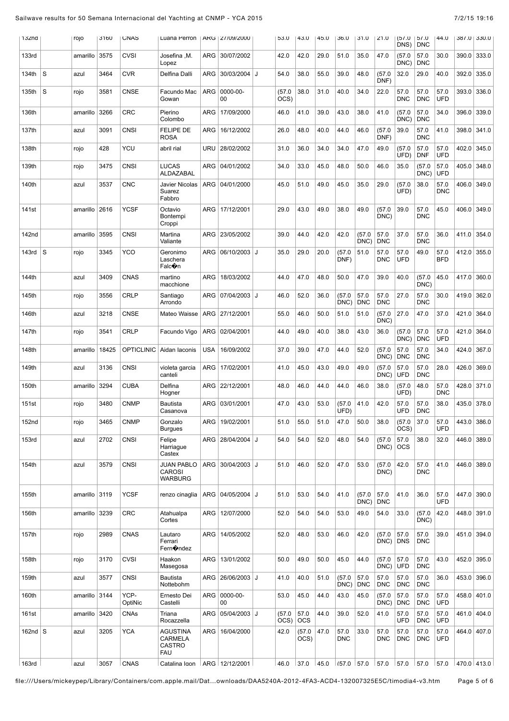| 13Zna           |    | rojo     | 3160  | <b>UNAS</b>       | Luana Perron                                              |     | ARG   27/09/2000     |   | 53.U           | 43.0               | 45.0           | 36.U               | 31.U               | Z1.0               | $U \cdot \lambda C$<br>DNS) | U.1C<br><b>DNC</b> | 44.U               |             | 387.0 330.0   |
|-----------------|----|----------|-------|-------------------|-----------------------------------------------------------|-----|----------------------|---|----------------|--------------------|----------------|--------------------|--------------------|--------------------|-----------------------------|--------------------|--------------------|-------------|---------------|
| 133rd           |    | amarillo | 3575  | <b>CVSI</b>       | Josefina ,M.<br>Lopez                                     | ARG | 30/07/2002           |   | 42.0           | 42.0               | 29.0           | 51.0               | 35.0               | 47.0               | (57.0)<br>DNC)              | 57.0<br><b>DNC</b> | 30.0               | 390.0       | 333.0         |
| 134th           | ls | azul     | 3464  | <b>CVR</b>        | Delfina Dalli                                             | ARG | 30/03/2004           | J | 54.0           | 38.0               | 55.0           | 39.0               | 48.0               | (57.0<br>DNF)      | 32.0                        | 29.0               | 40.0               | 392.0       | 335.0         |
| 135th           | S  | rojo     | 3581  | <b>CNSE</b>       | Facundo Mac<br>Gowan                                      | ARG | 0000-00-<br>00       |   | (57.0)<br>OCS) | 38.0               | 31.0           | 40.0               | 34.0               | 22.0               | 57.0<br><b>DNC</b>          | 57.0<br><b>DNC</b> | 57.0<br><b>UFD</b> | 393.0       | 336.0         |
| 136th           |    | amarillo | 3266  | <b>CRC</b>        | Pierino<br>Colombo                                        | ARG | 17/09/2000           |   | 46.0           | 41.0               | 39.0           | 43.0               | 38.0               | 41.0               | (57.0)<br>DNC)              | 57.0<br><b>DNC</b> | 34.0               | 396.0       | 339.0         |
| 137th           |    | azul     | 3091  | <b>CNSI</b>       | <b>FELIPE DE</b><br>ROSA                                  | ARG | 16/12/2002           |   | 26.0           | 48.0               | 40.0           | 44.0               | 46.0               | (57.0<br>DNF)      | 39.0                        | 57.0<br><b>DNC</b> | 41.0               | 398.0       | 341.0         |
| 138th           |    | rojo     | 428   | YCU               | abril rial                                                | URU | 28/02/2002           |   | 31.0           | 36.0               | 34.0           | 34.0               | 47.0               | 49.0               | (57.0)<br>UFD)              | 57.0<br><b>DNF</b> | 57.0<br><b>UFD</b> | 402.0       | 345.0         |
| 139th           |    | rojo     | 3475  | <b>CNSI</b>       | LUCAS<br>ALDAZABAL                                        |     | ARG   04/01/2002     |   | 34.0           | 33.0               | 45.0           | 48.0               | 50.0               | 46.0               | 35.0                        | (57.0)<br>DNC)     | 57.0<br><b>UFD</b> | 405.0       | 348.0         |
| 140th           |    | azul     | 3537  | <b>CNC</b>        | Javier Nicolas<br>Suarez<br>Fabbro                        | ARG | 04/01/2000           |   | 45.0           | 51.0               | 49.0           | 45.0               | 35.0               | 29.0               | (57.0)<br>UFD)              | 38.0               | 57.0<br><b>DNC</b> | 406.0       | 349.0         |
| 141st           |    | amarillo | 2616  | <b>YCSF</b>       | Octavio<br>Bontempi<br>Croppi                             |     | ARG   17/12/2001     |   | 29.0           | 43.0               | 49.0           | 38.0               | 49.0               | (57.0)<br>DNC)     | 39.0                        | 57.0<br><b>DNC</b> | 45.0               | 406.0 349.0 |               |
| 142nd           |    | amarillo | 3595  | <b>CNSI</b>       | Martina<br>Valiante                                       |     | ARG   23/05/2002     |   | 39.0           | 44.0               | 42.0           | 42.0               | (57.0)<br>DNC)     | 57.0<br><b>DNC</b> | 37.0                        | 57.0<br><b>DNC</b> | 36.0               | 411.0       | 354.0         |
| 143rd           | ls | rojo     | 3345  | YCO               | Geronimo<br>Laschera<br>Falc�n                            | ARG | 06/10/2003 J         |   | 35.0           | 29.0               | 20.0           | (57.0)<br>DNF)     | 51.0               | 57.0<br><b>DNC</b> | 57.0<br><b>UFD</b>          | 49.0               | 57.0<br><b>BFD</b> |             | 412.0 355.0   |
| 144th           |    | azul     | 3409  | <b>CNAS</b>       | martino<br>macchione                                      | ARG | 18/03/2002           |   | 44.0           | 47.0               | 48.0           | 50.0               | 47.0               | 39.0               | 40.0                        | (57.0)<br>DNC)     | 45.0               |             | 417.0 360.0   |
| 145th           |    | rojo     | 3556  | <b>CRLP</b>       | Santiago<br>Arrondo                                       | ARG | 07/04/2003 J         |   | 46.0           | 52.0               | 36.0           | (57.0)<br>DNC)     | 57.0<br><b>DNC</b> | 57.0<br><b>DNC</b> | 27.0                        | 57.0<br><b>DNC</b> | 30.0               | 419.0       | 362.0         |
| 146th           |    | azul     | 3218  | <b>CNSE</b>       | Mateo Waisse                                              | ARG | 27/12/2001           |   | 55.0           | 46.0               | 50.0           | 51.0               | 51.0               | (57.0<br>DNC)      | 27.0                        | 47.0               | 37.0               | 421.0       | 364.0         |
| 147th           |    | rojo     | 3541  | <b>CRLP</b>       | Facundo Vigo                                              |     | ARG   02/04/2001     |   | 44.0           | 49.0               | 40.0           | 38.0               | 43.0               | 36.0               | (57.0)<br>DNC)              | 57.0<br><b>DNC</b> | 57.0<br><b>UFD</b> | 421.0       | 364.0         |
| 148th           |    | amarillo | 18425 | <b>OPTICLINIC</b> | Aidan Iaconis                                             | USA | 16/09/2002           |   | 37.0           | 39.0               | 47.0           | 44.0               | 52.0               | (57.0)<br>DNC)     | 57.0<br><b>DNC</b>          | 57.0<br><b>DNC</b> | 34.0               | 424.0       | 367.0         |
| 149th           |    | azul     | 3136  | <b>CNSI</b>       | violeta garcia<br>canteli                                 | ARG | 17/02/2001           |   | 41.0           | 45.0               | 43.0           | 49.0               | 49.0               | (57.0<br>DNC)      | 57.0<br>UFD                 | 57.0<br><b>DNC</b> | 28.0               | 426.0       | 369.0         |
| 150th           |    | amarillo | 3294  | <b>CUBA</b>       | Delfina<br>Hogner                                         |     | ARG   22/12/2001     |   | 48.0           | 46.0               | 44.0           | 44.0               | 46.0               | 38.0               | (57.0)<br>UFD)              | 48.0               | 57.0<br><b>DNC</b> | 428.0       | 371.0         |
| 151st           |    | rojo     | 3480  | <b>CNMP</b>       | Bautista<br>Casanova                                      |     | ARG   03/01/2001     |   | 47.0           | 43.0               | 53.0           | (57.0)<br>UFD)     | 41.0               | 42.0               | 57.0<br>UFD                 | 57.0<br><b>DNC</b> | 38.0               | 435.0       | 378.0         |
| 152nd           |    | rojo     | 3465  | <b>CNMP</b>       | Gonzalo<br><b>Burgues</b>                                 |     | ARG   19/02/2001     |   | 51.0           | 55.0               | 51.0           | 47.0               | 50.0               | 38.0               | (57.0)<br>OCS)              | 37.0               | 57.0<br><b>UFD</b> | 443.0 386.0 |               |
| 153rd           |    | azul     | 2702  | <b>CNSI</b>       | Felipe<br>Harriague<br>Castex                             |     | ARG   28/04/2004   J |   | 54.0           | 54.0               | 52.0           | 48.0               | 54.0               | (57.0)<br>DNC)     | 57.0<br><b>OCS</b>          | 38.0               | 32.0               | 446.0       | 389.0         |
| 154th           |    | azul     | 3579  | <b>CNSI</b>       | <b>JUAN PABLO</b><br><b>CAROSI</b><br><b>WARBURG</b>      |     | ARG 30/04/2003 J     |   | 51.0           | 46.0               | 52.0           | 47.0               | 53.0               | (57.0)<br>DNC)     | 42.0                        | 57.0<br><b>DNC</b> | 41.0               |             | 446.0 389.0   |
| 155th           |    | amarillo | 3119  | <b>YCSF</b>       | renzo cinaglia                                            |     | ARG   04/05/2004   J |   | 51.0           | 53.0               | 54.0           | 41.0               | (57.0)<br>$DNC$ )  | 57.0<br>DNC        | 41.0                        | 36.0               | 57.0<br>UFD        |             | 447.0 390.0   |
| 156th           |    | amarillo | 3239  | <b>CRC</b>        | Atahualpa<br>Cortes                                       |     | ARG   12/07/2000     |   | 52.0           | 54.0               | 54.0           | 53.0               | 49.0               | 54.0               | 33.0                        | (57.0)<br>DNC)     | 42.0               | 448.0       | 391.0         |
| 157th           |    | rojo     | 2989  | <b>CNAS</b>       | Lautaro<br>Ferrari<br>Fern Ondez                          |     | ARG   14/05/2002     |   | 52.0           | 48.0               | 53.0           | 46.0               | 42.0               | (57.0<br>DNC)      | 57.0<br><b>DNS</b>          | 57.0<br><b>DNC</b> | 39.0               |             | 451.0 394.0   |
| 158th           |    | rojo     | 3170  | <b>CVSI</b>       | Haakon<br>Masegosa                                        |     | ARG   13/01/2002     |   | 50.0           | 49.0               | 50.0           | 45.0               | 44.0               | (57.0)<br>$DNC$ )  | 57.0<br><b>UFD</b>          | 57.0<br><b>DNC</b> | 43.0               |             | 452.0 395.0   |
| 159th           |    | azul     | 3577  | <b>CNSI</b>       | Bautista<br>Nottebohm                                     |     | ARG   26/06/2003   J |   | 41.0           | 40.0               | 51.0           | (57.0)<br>DNC)     | 57.0<br> DNC       | 57.0<br><b>DNC</b> | 57.0<br><b>DNC</b>          | 57.0<br><b>DNC</b> | 36.0               | 453.0       | 396.0         |
| 160th           |    | amarillo | 3144  | YCP-<br>OptiNic   | Ernesto Dei<br>Castelli                                   |     | ARG 0000-00-<br>00   |   | 53.0           | 45.0               | 44.0           | 43.0               | 45.0               | (57.0)<br>$DNC$ )  | 57.0<br><b>DNC</b>          | 57.0<br><b>DNC</b> | 57.0<br><b>UFD</b> |             | 458.0 401.0   |
| 161st           |    | amarillo | 3420  | <b>CNAs</b>       | Triana<br>Rocazzella                                      | ARG | 05/04/2003 J         |   | (57.0)<br>OCS) | 57.0<br><b>OCS</b> | 44.0           | 39.0               | 52.0               | 41.0               | 57.0<br>UFD                 | 57.0<br><b>DNC</b> | 57.0<br><b>UFD</b> |             | 461.0 404.0   |
| 162nd $\vert$ S |    | azul     | 3205  | <b>YCA</b>        | <b>AGUSTINA</b><br>CARMELA<br><b>CASTRO</b><br><b>FAU</b> |     | ARG   16/04/2000     |   | 42.0           | (57.0)<br>OCS)     | 47.0           | 57.0<br><b>DNC</b> | 33.0               | 57.0<br><b>DNC</b> | 57.0<br>DNC                 | 57.0<br><b>DNC</b> | 57.0<br>UFD        |             | 464.0 407.0   |
| 163rd           |    | azul     | 3057  | CNAS              | Catalina loon                                             |     | ARG 12/12/2001       |   | 46.0           | 37.0               | $ 45.0\rangle$ | $167.0$ 57.0       |                    | 57.0 57.0          |                             | 57.0               | 57.0               |             | 470.0   413.0 |